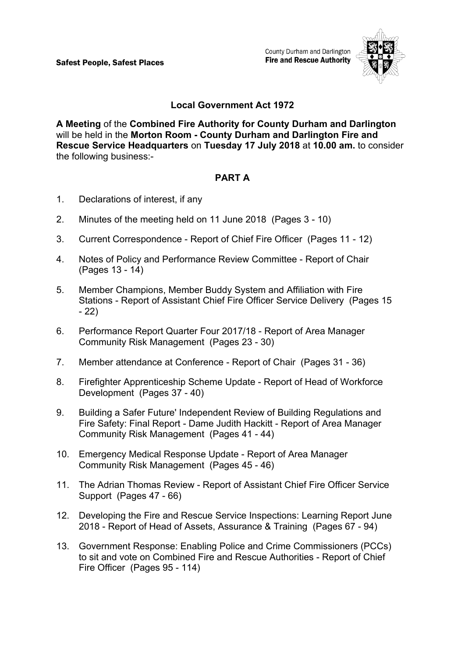County Durham and Darlington **Fire and Rescue Authority** 



# **Local Government Act 1972**

**A Meeting** of the **Combined Fire Authority for County Durham and Darlington** will be held in the **Morton Room - County Durham and Darlington Fire and Rescue Service Headquarters** on **Tuesday 17 July 2018** at **10.00 am.** to consider the following business:-

## **PART A**

- 1. Declarations of interest, if any
- 2. Minutes of the meeting held on 11 June 2018(Pages 3 10)
- 3. Current Correspondence Report of Chief Fire Officer(Pages 11 12)
- 4. Notes of Policy and Performance Review Committee Report of Chair (Pages 13 - 14)
- 5. Member Champions, Member Buddy System and Affiliation with Fire Stations - Report of Assistant Chief Fire Officer Service Delivery(Pages 15 - 22)
- 6. Performance Report Quarter Four 2017/18 Report of Area Manager Community Risk Management(Pages 23 - 30)
- 7. Member attendance at Conference Report of Chair(Pages 31 36)
- 8. Firefighter Apprenticeship Scheme Update Report of Head of Workforce Development(Pages 37 - 40)
- 9. Building a Safer Future' Independent Review of Building Regulations and Fire Safety: Final Report - Dame Judith Hackitt - Report of Area Manager Community Risk Management(Pages 41 - 44)
- 10. Emergency Medical Response Update Report of Area Manager Community Risk Management(Pages 45 - 46)
- 11. The Adrian Thomas Review Report of Assistant Chief Fire Officer Service Support(Pages 47 - 66)
- 12. Developing the Fire and Rescue Service Inspections: Learning Report June 2018 - Report of Head of Assets, Assurance & Training(Pages 67 - 94)
- 13. Government Response: Enabling Police and Crime Commissioners (PCCs) to sit and vote on Combined Fire and Rescue Authorities - Report of Chief Fire Officer(Pages 95 - 114)